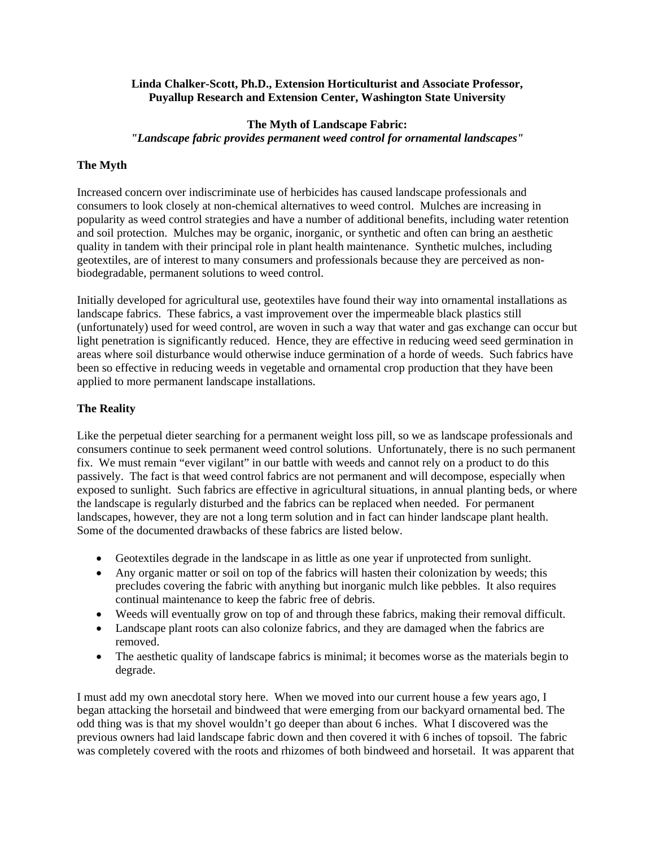#### **Linda Chalker-Scott, Ph.D., Extension Horticulturist and Associate Professor, Puyallup Research and Extension Center, Washington State University**

# **The Myth of Landscape Fabric:**  *"Landscape fabric provides permanent weed control for ornamental landscapes"*

## **The Myth**

Increased concern over indiscriminate use of herbicides has caused landscape professionals and consumers to look closely at non-chemical alternatives to weed control. Mulches are increasing in popularity as weed control strategies and have a number of additional benefits, including water retention and soil protection. Mulches may be organic, inorganic, or synthetic and often can bring an aesthetic quality in tandem with their principal role in plant health maintenance. Synthetic mulches, including geotextiles, are of interest to many consumers and professionals because they are perceived as nonbiodegradable, permanent solutions to weed control.

Initially developed for agricultural use, geotextiles have found their way into ornamental installations as landscape fabrics. These fabrics, a vast improvement over the impermeable black plastics still (unfortunately) used for weed control, are woven in such a way that water and gas exchange can occur but light penetration is significantly reduced. Hence, they are effective in reducing weed seed germination in areas where soil disturbance would otherwise induce germination of a horde of weeds. Such fabrics have been so effective in reducing weeds in vegetable and ornamental crop production that they have been applied to more permanent landscape installations.

#### **The Reality**

Like the perpetual dieter searching for a permanent weight loss pill, so we as landscape professionals and consumers continue to seek permanent weed control solutions. Unfortunately, there is no such permanent fix. We must remain "ever vigilant" in our battle with weeds and cannot rely on a product to do this passively. The fact is that weed control fabrics are not permanent and will decompose, especially when exposed to sunlight. Such fabrics are effective in agricultural situations, in annual planting beds, or where the landscape is regularly disturbed and the fabrics can be replaced when needed. For permanent landscapes, however, they are not a long term solution and in fact can hinder landscape plant health. Some of the documented drawbacks of these fabrics are listed below.

- Geotextiles degrade in the landscape in as little as one year if unprotected from sunlight.
- Any organic matter or soil on top of the fabrics will hasten their colonization by weeds; this precludes covering the fabric with anything but inorganic mulch like pebbles. It also requires continual maintenance to keep the fabric free of debris.
- Weeds will eventually grow on top of and through these fabrics, making their removal difficult.
- Landscape plant roots can also colonize fabrics, and they are damaged when the fabrics are removed.
- The aesthetic quality of landscape fabrics is minimal; it becomes worse as the materials begin to degrade.

I must add my own anecdotal story here. When we moved into our current house a few years ago, I began attacking the horsetail and bindweed that were emerging from our backyard ornamental bed. The odd thing was is that my shovel wouldn't go deeper than about 6 inches. What I discovered was the previous owners had laid landscape fabric down and then covered it with 6 inches of topsoil. The fabric was completely covered with the roots and rhizomes of both bindweed and horsetail. It was apparent that